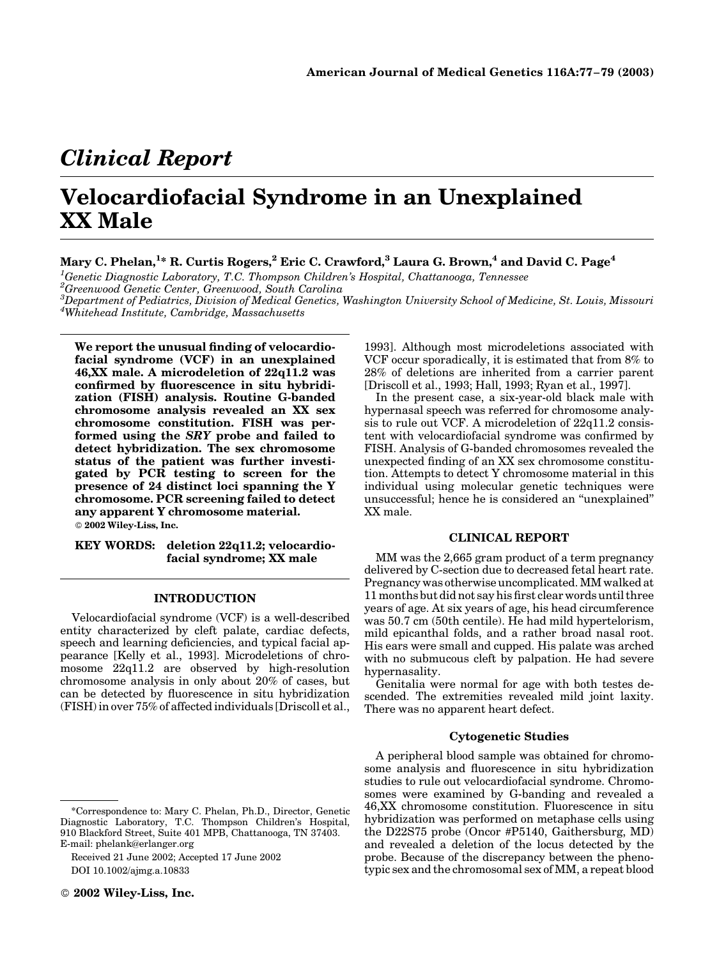## Clinical Report

# Velocardiofacial Syndrome in an Unexplained XX Male

### Mary C. Phelan, $^{1*}$  R. Curtis Rogers, $^2$  Eric C. Crawford, $^3$  Laura G. Brown, $^4$  and David C. Page $^4$

 ${}^{1}$ Genetic Diagnostic Laboratory, T.C. Thompson Children's Hospital, Chattanooga, Tennessee

2 Greenwood Genetic Center, Greenwood, South Carolina

 $^3$ Department of Pediatrics, Division of Medical Genetics, Washington University School of Medicine, St. Louis, Missouri 4 Whitehead Institute, Cambridge, Massachusetts

We report the unusual finding of velocardiofacial syndrome (VCF) in an unexplained 46,XX male. A microdeletion of 22q11.2 was confirmed by fluorescence in situ hybridization (FISH) analysis. Routine G-banded chromosome analysis revealed an XX sex chromosome constitution. FISH was performed using the SRY probe and failed to detect hybridization. The sex chromosome status of the patient was further investigated by PCR testing to screen for the presence of 24 distinct loci spanning the Y chromosome. PCR screening failed to detect any apparent Y chromosome material. 2002 Wiley-Liss, Inc.

KEY WORDS: deletion 22q11.2; velocardiofacial syndrome; XX male

#### INTRODUCTION

Velocardiofacial syndrome (VCF) is a well-described entity characterized by cleft palate, cardiac defects, speech and learning deficiencies, and typical facial appearance [Kelly et al., 1993]. Microdeletions of chromosome 22q11.2 are observed by high-resolution chromosome analysis in only about 20% of cases, but can be detected by fluorescence in situ hybridization (FISH) in over 75% of affected individuals [Driscoll et al.,

Received 21 June 2002; Accepted 17 June 2002 DOI 10.1002/ajmg.a.10833

1993]. Although most microdeletions associated with VCF occur sporadically, it is estimated that from 8% to 28% of deletions are inherited from a carrier parent [Driscoll et al., 1993; Hall, 1993; Ryan et al., 1997].

In the present case, a six-year-old black male with hypernasal speech was referred for chromosome analysis to rule out VCF. A microdeletion of 22q11.2 consistent with velocardiofacial syndrome was confirmed by FISH. Analysis of G-banded chromosomes revealed the unexpected finding of an XX sex chromosome constitution. Attempts to detect Y chromosome material in this individual using molecular genetic techniques were unsuccessful; hence he is considered an ''unexplained'' XX male.

#### CLINICAL REPORT

MM was the 2,665 gram product of a term pregnancy delivered by C-section due to decreased fetal heart rate. Pregnancy was otherwise uncomplicated. MM walked at 11 months but did not say his first clear words until three years of age. At six years of age, his head circumference was 50.7 cm (50th centile). He had mild hypertelorism, mild epicanthal folds, and a rather broad nasal root. His ears were small and cupped. His palate was arched with no submucous cleft by palpation. He had severe hypernasality.

Genitalia were normal for age with both testes descended. The extremities revealed mild joint laxity. There was no apparent heart defect.

#### Cytogenetic Studies

A peripheral blood sample was obtained for chromosome analysis and fluorescence in situ hybridization studies to rule out velocardiofacial syndrome. Chromosomes were examined by G-banding and revealed a 46,XX chromosome constitution. Fluorescence in situ hybridization was performed on metaphase cells using the D22S75 probe (Oncor #P5140, Gaithersburg, MD) and revealed a deletion of the locus detected by the probe. Because of the discrepancy between the phenotypic sex and the chromosomal sex of MM, a repeat blood

<sup>\*</sup>Correspondence to: Mary C. Phelan, Ph.D., Director, Genetic Diagnostic Laboratory, T.C. Thompson Children's Hospital, 910 Blackford Street, Suite 401 MPB, Chattanooga, TN 37403. E-mail: phelank@erlanger.org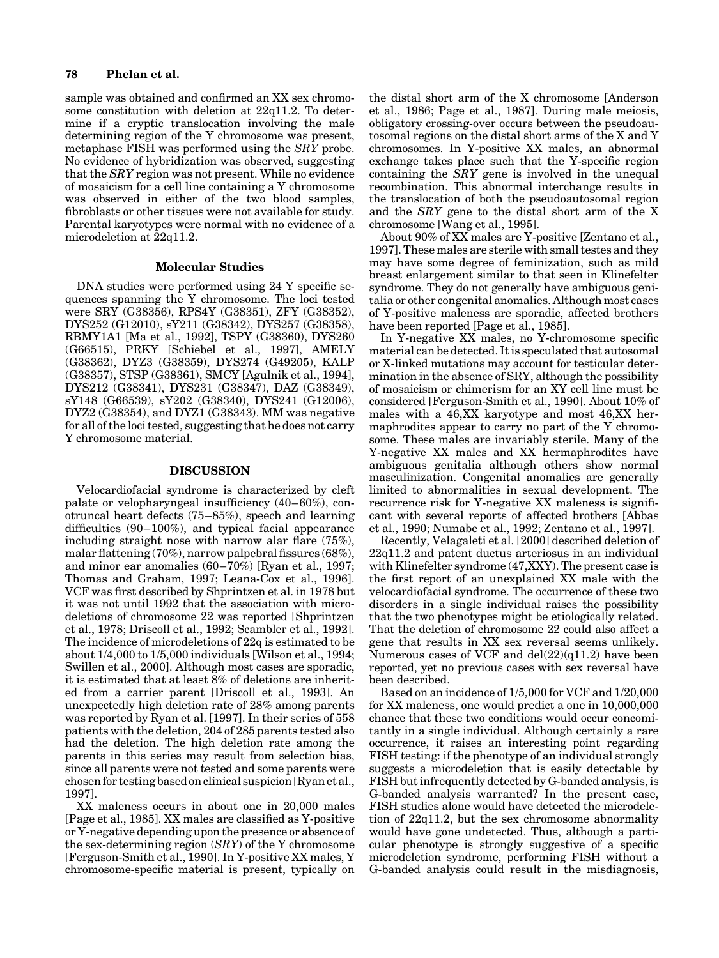#### 78 Phelan et al.

sample was obtained and confirmed an XX sex chromosome constitution with deletion at 22q11.2. To determine if a cryptic translocation involving the male determining region of the Y chromosome was present, metaphase FISH was performed using the SRY probe. No evidence of hybridization was observed, suggesting that the SRY region was not present. While no evidence of mosaicism for a cell line containing a Y chromosome was observed in either of the two blood samples, fibroblasts or other tissues were not available for study. Parental karyotypes were normal with no evidence of a microdeletion at 22q11.2.

#### Molecular Studies

DNA studies were performed using 24 Y specific sequences spanning the Y chromosome. The loci tested were SRY (G38356), RPS4Y (G38351), ZFY (G38352), DYS252 (G12010), sY211 (G38342), DYS257 (G38358), RBMY1A1 [Ma et al., 1992], TSPY (G38360), DYS260 (G66515), PRKY [Schiebel et al., 1997], AMELY (G38362), DYZ3 (G38359), DYS274 (G49205), KALP (G38357), STSP (G38361), SMCY [Agulnik et al., 1994], DYS212 (G38341), DYS231 (G38347), DAZ (G38349), sY148 (G66539), sY202 (G38340), DYS241 (G12006), DYZ2 (G38354), and DYZ1 (G38343). MM was negative for all of the loci tested, suggesting that he does not carry Y chromosome material.

#### DISCUSSION

Velocardiofacial syndrome is characterized by cleft palate or velopharyngeal insufficiency (40–60%), conotruncal heart defects (75–85%), speech and learning difficulties (90–100%), and typical facial appearance including straight nose with narrow alar flare (75%), malar flattening (70%), narrow palpebral fissures (68%), and minor ear anomalies  $(60-70\%)$  [Ryan et al., 1997; Thomas and Graham, 1997; Leana-Cox et al., 1996]. VCF was first described by Shprintzen et al. in 1978 but it was not until 1992 that the association with microdeletions of chromosome 22 was reported [Shprintzen et al., 1978; Driscoll et al., 1992; Scambler et al., 1992]. The incidence of microdeletions of 22q is estimated to be about  $1/4,000$  to  $1/5,000$  individuals [Wilson et al., 1994; Swillen et al., 2000]. Although most cases are sporadic, it is estimated that at least 8% of deletions are inherited from a carrier parent [Driscoll et al., 1993]. An unexpectedly high deletion rate of 28% among parents was reported by Ryan et al. [1997]. In their series of 558 patients with the deletion, 204 of 285 parents tested also had the deletion. The high deletion rate among the parents in this series may result from selection bias, since all parents were not tested and some parents were chosen for testing based on clinical suspicion [Ryan et al., 1997].

XX maleness occurs in about one in 20,000 males [Page et al., 1985]. XX males are classified as Y-positive or Y-negative depending upon the presence or absence of the sex-determining region (SRY) of the Y chromosome [Ferguson-Smith et al., 1990]. In Y-positive XX males, Y chromosome-specific material is present, typically on

the distal short arm of the X chromosome [Anderson et al., 1986; Page et al., 1987]. During male meiosis, obligatory crossing-over occurs between the pseudoautosomal regions on the distal short arms of the X and Y chromosomes. In Y-positive XX males, an abnormal exchange takes place such that the Y-specific region containing the SRY gene is involved in the unequal recombination. This abnormal interchange results in the translocation of both the pseudoautosomal region and the SRY gene to the distal short arm of the X chromosome [Wang et al., 1995].

About 90% of XX males are Y-positive [Zentano et al., 1997]. These males are sterile with small testes and they may have some degree of feminization, such as mild breast enlargement similar to that seen in Klinefelter syndrome. They do not generally have ambiguous genitalia or other congenital anomalies. Although most cases of Y-positive maleness are sporadic, affected brothers have been reported [Page et al., 1985].

In Y-negative XX males, no Y-chromosome specific material can be detected. It is speculated that autosomal or X-linked mutations may account for testicular determination in the absence of SRY, although the possibility of mosaicism or chimerism for an XY cell line must be considered [Ferguson-Smith et al., 1990]. About 10% of males with a 46,XX karyotype and most 46,XX hermaphrodites appear to carry no part of the Y chromosome. These males are invariably sterile. Many of the Y-negative XX males and XX hermaphrodites have ambiguous genitalia although others show normal masculinization. Congenital anomalies are generally limited to abnormalities in sexual development. The recurrence risk for Y-negative XX maleness is significant with several reports of affected brothers [Abbas et al., 1990; Numabe et al., 1992; Zentano et al., 1997].

Recently, Velagaleti et al. [2000] described deletion of 22q11.2 and patent ductus arteriosus in an individual with Klinefelter syndrome (47,XXY). The present case is the first report of an unexplained XX male with the velocardiofacial syndrome. The occurrence of these two disorders in a single individual raises the possibility that the two phenotypes might be etiologically related. That the deletion of chromosome 22 could also affect a gene that results in XX sex reversal seems unlikely. Numerous cases of VCF and  $del(22)(q11.2)$  have been reported, yet no previous cases with sex reversal have been described.

Based on an incidence of 1/5,000 for VCF and 1/20,000 for XX maleness, one would predict a one in 10,000,000 chance that these two conditions would occur concomitantly in a single individual. Although certainly a rare occurrence, it raises an interesting point regarding FISH testing: if the phenotype of an individual strongly suggests a microdeletion that is easily detectable by FISH but infrequently detected by G-banded analysis, is G-banded analysis warranted? In the present case, FISH studies alone would have detected the microdeletion of 22q11.2, but the sex chromosome abnormality would have gone undetected. Thus, although a particular phenotype is strongly suggestive of a specific microdeletion syndrome, performing FISH without a G-banded analysis could result in the misdiagnosis,